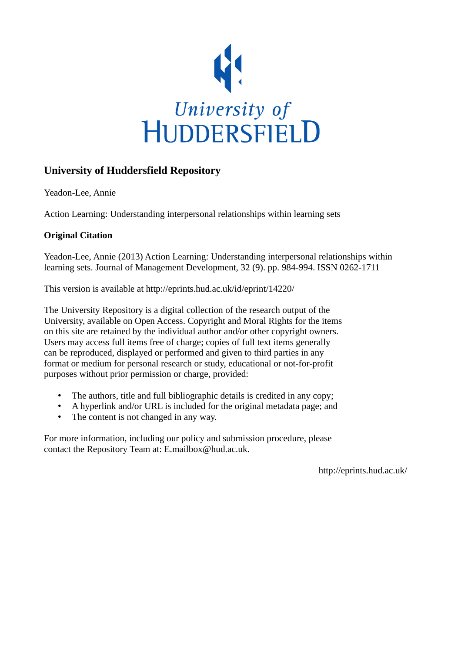

# **University of Huddersfield Repository**

Yeadon-Lee, Annie

Action Learning: Understanding interpersonal relationships within learning sets

# **Original Citation**

Yeadon-Lee, Annie (2013) Action Learning: Understanding interpersonal relationships within learning sets. Journal of Management Development, 32 (9). pp. 984-994. ISSN 0262-1711

This version is available at http://eprints.hud.ac.uk/id/eprint/14220/

The University Repository is a digital collection of the research output of the University, available on Open Access. Copyright and Moral Rights for the items on this site are retained by the individual author and/or other copyright owners. Users may access full items free of charge; copies of full text items generally can be reproduced, displayed or performed and given to third parties in any format or medium for personal research or study, educational or not-for-profit purposes without prior permission or charge, provided:

- The authors, title and full bibliographic details is credited in any copy;
- A hyperlink and/or URL is included for the original metadata page; and
- The content is not changed in any way.

For more information, including our policy and submission procedure, please contact the Repository Team at: E.mailbox@hud.ac.uk.

http://eprints.hud.ac.uk/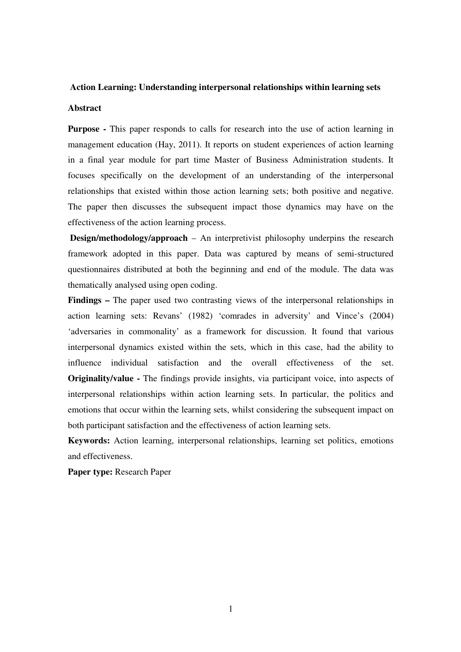# **Action Learning: Understanding interpersonal relationships within learning sets**

#### **Abstract**

**Purpose -** This paper responds to calls for research into the use of action learning in management education (Hay, 2011). It reports on student experiences of action learning in a final year module for part time Master of Business Administration students. It focuses specifically on the development of an understanding of the interpersonal relationships that existed within those action learning sets; both positive and negative. The paper then discusses the subsequent impact those dynamics may have on the effectiveness of the action learning process.

**Design/methodology/approach** – An interpretivist philosophy underpins the research framework adopted in this paper. Data was captured by means of semi-structured questionnaires distributed at both the beginning and end of the module. The data was thematically analysed using open coding.

**Findings –** The paper used two contrasting views of the interpersonal relationships in action learning sets: Revans' (1982) 'comrades in adversity' and Vince's (2004) 'adversaries in commonality' as a framework for discussion. It found that various interpersonal dynamics existed within the sets, which in this case, had the ability to influence individual satisfaction and the overall effectiveness of the set. **Originality/value -** The findings provide insights, via participant voice, into aspects of interpersonal relationships within action learning sets. In particular, the politics and emotions that occur within the learning sets, whilst considering the subsequent impact on both participant satisfaction and the effectiveness of action learning sets.

**Keywords:** Action learning, interpersonal relationships, learning set politics, emotions and effectiveness.

**Paper type:** Research Paper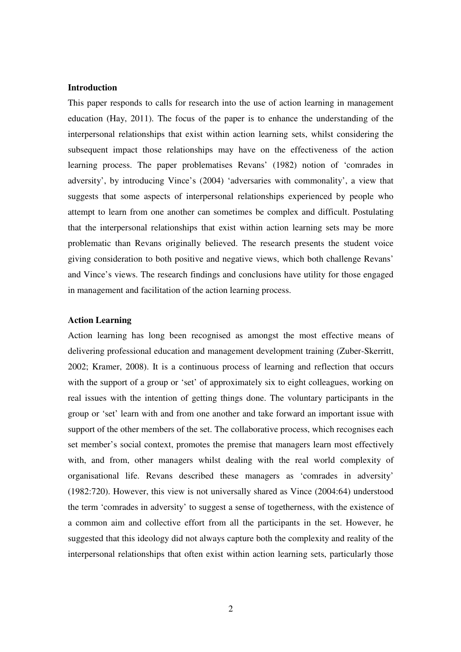## **Introduction**

This paper responds to calls for research into the use of action learning in management education (Hay, 2011). The focus of the paper is to enhance the understanding of the interpersonal relationships that exist within action learning sets, whilst considering the subsequent impact those relationships may have on the effectiveness of the action learning process. The paper problematises Revans' (1982) notion of 'comrades in adversity', by introducing Vince's (2004) 'adversaries with commonality', a view that suggests that some aspects of interpersonal relationships experienced by people who attempt to learn from one another can sometimes be complex and difficult. Postulating that the interpersonal relationships that exist within action learning sets may be more problematic than Revans originally believed. The research presents the student voice giving consideration to both positive and negative views, which both challenge Revans' and Vince's views. The research findings and conclusions have utility for those engaged in management and facilitation of the action learning process.

#### **Action Learning**

Action learning has long been recognised as amongst the most effective means of delivering professional education and management development training (Zuber-Skerritt, 2002; Kramer, 2008). It is a continuous process of learning and reflection that occurs with the support of a group or 'set' of approximately six to eight colleagues, working on real issues with the intention of getting things done. The voluntary participants in the group or 'set' learn with and from one another and take forward an important issue with support of the other members of the set. The collaborative process, which recognises each set member's social context, promotes the premise that managers learn most effectively with, and from, other managers whilst dealing with the real world complexity of organisational life. Revans described these managers as 'comrades in adversity' (1982:720). However, this view is not universally shared as Vince (2004:64) understood the term 'comrades in adversity' to suggest a sense of togetherness, with the existence of a common aim and collective effort from all the participants in the set. However, he suggested that this ideology did not always capture both the complexity and reality of the interpersonal relationships that often exist within action learning sets, particularly those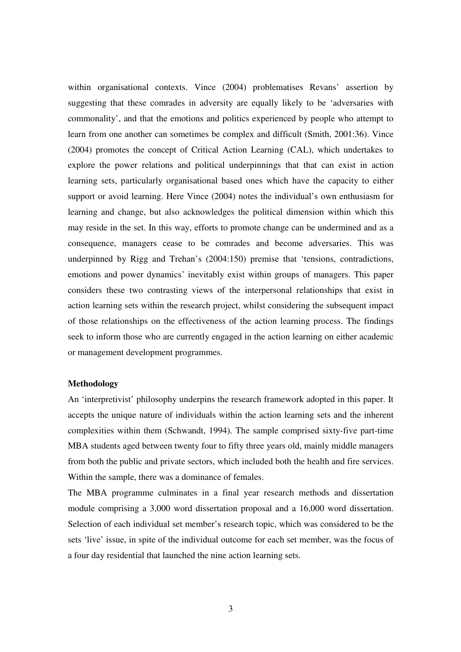within organisational contexts. Vince (2004) problematises Revans' assertion by suggesting that these comrades in adversity are equally likely to be 'adversaries with commonality', and that the emotions and politics experienced by people who attempt to learn from one another can sometimes be complex and difficult (Smith, 2001:36). Vince (2004) promotes the concept of Critical Action Learning (CAL), which undertakes to explore the power relations and political underpinnings that that can exist in action learning sets, particularly organisational based ones which have the capacity to either support or avoid learning. Here Vince (2004) notes the individual's own enthusiasm for learning and change, but also acknowledges the political dimension within which this may reside in the set. In this way, efforts to promote change can be undermined and as a consequence, managers cease to be comrades and become adversaries. This was underpinned by Rigg and Trehan's (2004:150) premise that 'tensions, contradictions, emotions and power dynamics' inevitably exist within groups of managers. This paper considers these two contrasting views of the interpersonal relationships that exist in action learning sets within the research project, whilst considering the subsequent impact of those relationships on the effectiveness of the action learning process. The findings seek to inform those who are currently engaged in the action learning on either academic or management development programmes.

#### **Methodology**

An 'interpretivist' philosophy underpins the research framework adopted in this paper. It accepts the unique nature of individuals within the action learning sets and the inherent complexities within them (Schwandt, 1994). The sample comprised sixty-five part-time MBA students aged between twenty four to fifty three years old, mainly middle managers from both the public and private sectors, which included both the health and fire services. Within the sample, there was a dominance of females.

The MBA programme culminates in a final year research methods and dissertation module comprising a 3,000 word dissertation proposal and a 16,000 word dissertation. Selection of each individual set member's research topic, which was considered to be the sets 'live' issue, in spite of the individual outcome for each set member, was the focus of a four day residential that launched the nine action learning sets.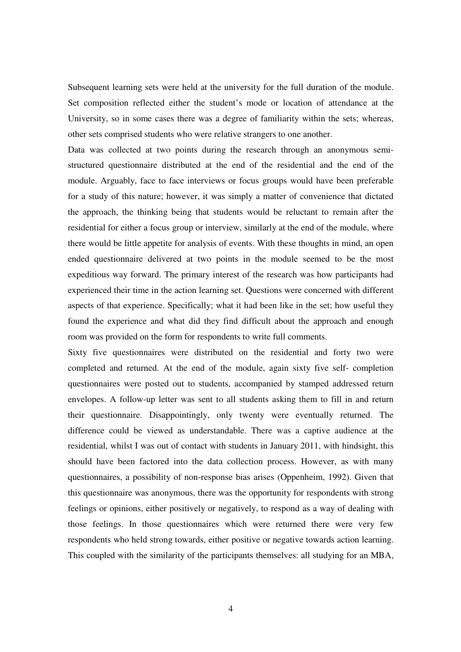Subsequent learning sets were held at the university for the full duration of the module. Set composition reflected either the student's mode or location of attendance at the University, so in some cases there was a degree of familiarity within the sets; whereas, other sets comprised students who were relative strangers to one another.

Data was collected at two points during the research through an anonymous semistructured questionnaire distributed at the end of the residential and the end of the module. Arguably, face to face interviews or focus groups would have been preferable for a study of this nature; however, it was simply a matter of convenience that dictated the approach, the thinking being that students would be reluctant to remain after the residential for either a focus group or interview, similarly at the end of the module, where there would be little appetite for analysis of events. With these thoughts in mind, an open ended questionnaire delivered at two points in the module seemed to be the most expeditious way forward. The primary interest of the research was how participants had experienced their time in the action learning set. Questions were concerned with different aspects of that experience. Specifically; what it had been like in the set; how useful they found the experience and what did they find difficult about the approach and enough room was provided on the form for respondents to write full comments.

Sixty five questionnaires were distributed on the residential and forty two were completed and returned. At the end of the module, again sixty five self- completion questionnaires were posted out to students, accompanied by stamped addressed return envelopes. A follow-up letter was sent to all students asking them to fill in and return their questionnaire. Disappointingly, only twenty were eventually returned. The difference could be viewed as understandable. There was a captive audience at the residential, whilst I was out of contact with students in January 2011, with hindsight, this should have been factored into the data collection process. However, as with many questionnaires, a possibility of non-response bias arises (Oppenheim, 1992). Given that this questionnaire was anonymous, there was the opportunity for respondents with strong feelings or opinions, either positively or negatively, to respond as a way of dealing with those feelings. In those questionnaires which were returned there were very few respondents who held strong towards, either positive or negative towards action learning. This coupled with the similarity of the participants themselves: all studying for an MBA,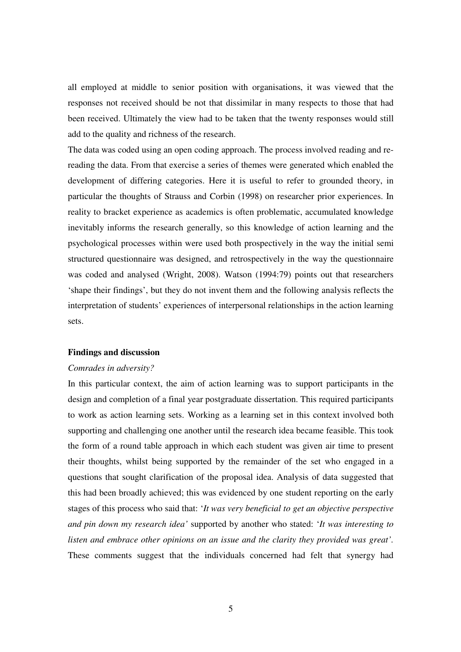all employed at middle to senior position with organisations, it was viewed that the responses not received should be not that dissimilar in many respects to those that had been received. Ultimately the view had to be taken that the twenty responses would still add to the quality and richness of the research.

The data was coded using an open coding approach. The process involved reading and rereading the data. From that exercise a series of themes were generated which enabled the development of differing categories. Here it is useful to refer to grounded theory, in particular the thoughts of Strauss and Corbin (1998) on researcher prior experiences. In reality to bracket experience as academics is often problematic, accumulated knowledge inevitably informs the research generally, so this knowledge of action learning and the psychological processes within were used both prospectively in the way the initial semi structured questionnaire was designed, and retrospectively in the way the questionnaire was coded and analysed (Wright, 2008). Watson (1994:79) points out that researchers 'shape their findings', but they do not invent them and the following analysis reflects the interpretation of students' experiences of interpersonal relationships in the action learning sets.

# **Findings and discussion**

#### *Comrades in adversity?*

In this particular context, the aim of action learning was to support participants in the design and completion of a final year postgraduate dissertation. This required participants to work as action learning sets. Working as a learning set in this context involved both supporting and challenging one another until the research idea became feasible. This took the form of a round table approach in which each student was given air time to present their thoughts, whilst being supported by the remainder of the set who engaged in a questions that sought clarification of the proposal idea. Analysis of data suggested that this had been broadly achieved; this was evidenced by one student reporting on the early stages of this process who said that: '*It was very beneficial to get an objective perspective and pin down my research idea'* supported by another who stated: '*It was interesting to listen and embrace other opinions on an issue and the clarity they provided was great'.* These comments suggest that the individuals concerned had felt that synergy had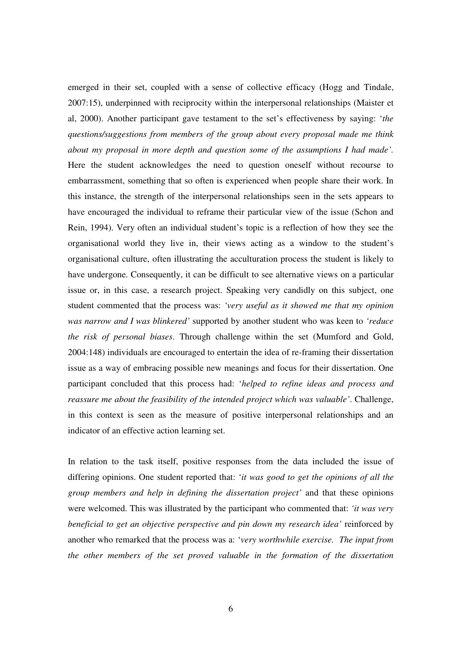emerged in their set, coupled with a sense of collective efficacy (Hogg and Tindale, 2007:15), underpinned with reciprocity within the interpersonal relationships (Maister et al, 2000). Another participant gave testament to the set's effectiveness by saying: '*the questions/suggestions from members of the group about every proposal made me think about my proposal in more depth and question some of the assumptions I had made'.*  Here the student acknowledges the need to question oneself without recourse to embarrassment, something that so often is experienced when people share their work. In this instance, the strength of the interpersonal relationships seen in the sets appears to have encouraged the individual to reframe their particular view of the issue (Schon and Rein, 1994). Very often an individual student's topic is a reflection of how they see the organisational world they live in, their views acting as a window to the student's organisational culture, often illustrating the acculturation process the student is likely to have undergone. Consequently, it can be difficult to see alternative views on a particular issue or, in this case, a research project. Speaking very candidly on this subject, one student commented that the process was: *'very useful as it showed me that my opinion was narrow and I was blinkered'* supported by another student who was keen to *'reduce the risk of personal biases*. Through challenge within the set (Mumford and Gold, 2004:148) individuals are encouraged to entertain the idea of re-framing their dissertation issue as a way of embracing possible new meanings and focus for their dissertation. One participant concluded that this process had: '*helped to refine ideas and process and reassure me about the feasibility of the intended project which was valuable'*. Challenge, in this context is seen as the measure of positive interpersonal relationships and an indicator of an effective action learning set.

In relation to the task itself, positive responses from the data included the issue of differing opinions. One student reported that: '*it was good to get the opinions of all the group members and help in defining the dissertation project'* and that these opinions were welcomed. This was illustrated by the participant who commented that: *'it was very beneficial to get an objective perspective and pin down my research idea'* reinforced by another who remarked that the process was a: '*very worthwhile exercise. The input from the other members of the set proved valuable in the formation of the dissertation*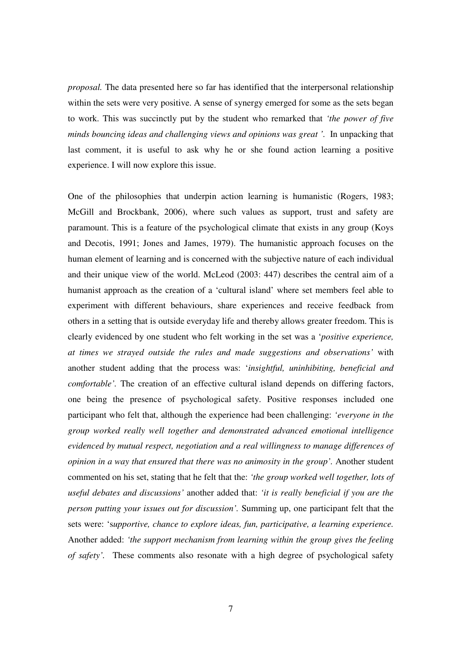*proposal.* The data presented here so far has identified that the interpersonal relationship within the sets were very positive. A sense of synergy emerged for some as the sets began to work. This was succinctly put by the student who remarked that *'the power of five minds bouncing ideas and challenging views and opinions was great '.* In unpacking that last comment, it is useful to ask why he or she found action learning a positive experience. I will now explore this issue.

One of the philosophies that underpin action learning is humanistic (Rogers, 1983; McGill and Brockbank, 2006), where such values as support, trust and safety are paramount. This is a feature of the psychological climate that exists in any group (Koys and Decotis, 1991; Jones and James, 1979). The humanistic approach focuses on the human element of learning and is concerned with the subjective nature of each individual and their unique view of the world. McLeod (2003: 447) describes the central aim of a humanist approach as the creation of a 'cultural island' where set members feel able to experiment with different behaviours, share experiences and receive feedback from others in a setting that is outside everyday life and thereby allows greater freedom. This is clearly evidenced by one student who felt working in the set was a '*positive experience, at times we strayed outside the rules and made suggestions and observations'* with another student adding that the process was: '*insightful, uninhibiting, beneficial and comfortable'.* The creation of an effective cultural island depends on differing factors, one being the presence of psychological safety. Positive responses included one participant who felt that, although the experience had been challenging: *'everyone in the group worked really well together and demonstrated advanced emotional intelligence evidenced by mutual respect, negotiation and a real willingness to manage differences of opinion in a way that ensured that there was no animosity in the group'*. Another student commented on his set, stating that he felt that the: *'the group worked well together, lots of useful debates and discussions'* another added that: *'it is really beneficial if you are the person putting your issues out for discussion'.* Summing up, one participant felt that the sets were: 's*upportive, chance to explore ideas, fun, participative, a learning experience.*  Another added: *'the support mechanism from learning within the group gives the feeling of safety'.* These comments also resonate with a high degree of psychological safety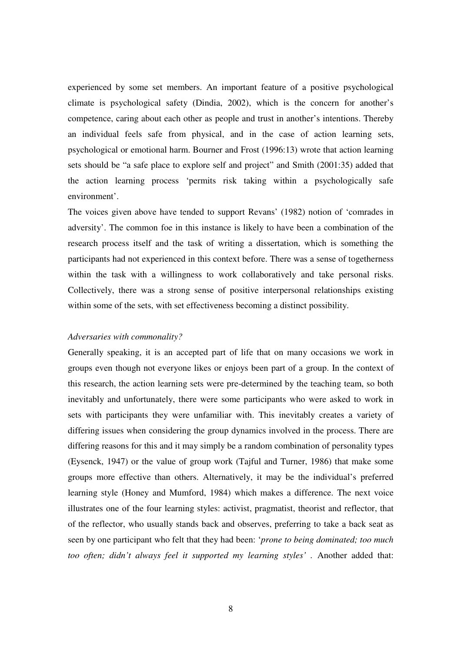experienced by some set members. An important feature of a positive psychological climate is psychological safety (Dindia, 2002), which is the concern for another's competence, caring about each other as people and trust in another's intentions. Thereby an individual feels safe from physical, and in the case of action learning sets, psychological or emotional harm. Bourner and Frost (1996:13) wrote that action learning sets should be "a safe place to explore self and project" and Smith (2001:35) added that the action learning process 'permits risk taking within a psychologically safe environment'.

The voices given above have tended to support Revans' (1982) notion of 'comrades in adversity'. The common foe in this instance is likely to have been a combination of the research process itself and the task of writing a dissertation, which is something the participants had not experienced in this context before. There was a sense of togetherness within the task with a willingness to work collaboratively and take personal risks. Collectively, there was a strong sense of positive interpersonal relationships existing within some of the sets, with set effectiveness becoming a distinct possibility.

#### *Adversaries with commonality?*

Generally speaking, it is an accepted part of life that on many occasions we work in groups even though not everyone likes or enjoys been part of a group. In the context of this research, the action learning sets were pre-determined by the teaching team, so both inevitably and unfortunately, there were some participants who were asked to work in sets with participants they were unfamiliar with. This inevitably creates a variety of differing issues when considering the group dynamics involved in the process. There are differing reasons for this and it may simply be a random combination of personality types (Eysenck, 1947) or the value of group work (Tajful and Turner, 1986) that make some groups more effective than others. Alternatively, it may be the individual's preferred learning style (Honey and Mumford, 1984) which makes a difference. The next voice illustrates one of the four learning styles: activist, pragmatist, theorist and reflector, that of the reflector, who usually stands back and observes, preferring to take a back seat as seen by one participant who felt that they had been: '*prone to being dominated; too much too often; didn't always feel it supported my learning styles' .* Another added that: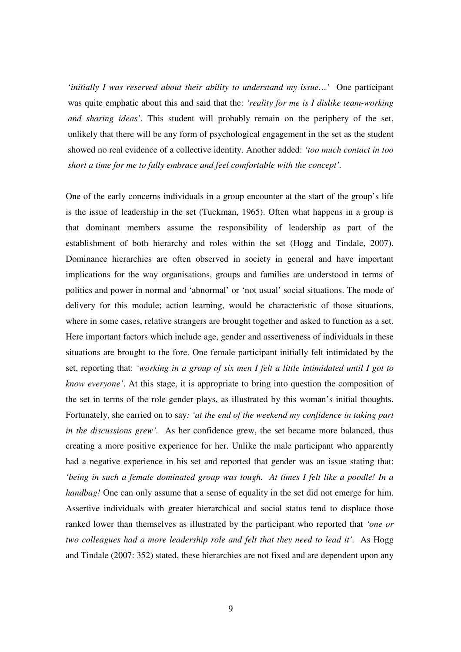'*initially I was reserved about their ability to understand my issue…'* One participant was quite emphatic about this and said that the: *'reality for me is I dislike team-working and sharing ideas'.* This student will probably remain on the periphery of the set, unlikely that there will be any form of psychological engagement in the set as the student showed no real evidence of a collective identity. Another added: *'too much contact in too short a time for me to fully embrace and feel comfortable with the concept'.*

One of the early concerns individuals in a group encounter at the start of the group's life is the issue of leadership in the set (Tuckman, 1965). Often what happens in a group is that dominant members assume the responsibility of leadership as part of the establishment of both hierarchy and roles within the set (Hogg and Tindale, 2007). Dominance hierarchies are often observed in society in general and have important implications for the way organisations, groups and families are understood in terms of politics and power in normal and 'abnormal' or 'not usual' social situations. The mode of delivery for this module; action learning, would be characteristic of those situations, where in some cases, relative strangers are brought together and asked to function as a set. Here important factors which include age, gender and assertiveness of individuals in these situations are brought to the fore. One female participant initially felt intimidated by the set, reporting that: *'working in a group of six men I felt a little intimidated until I got to know everyone'*. At this stage, it is appropriate to bring into question the composition of the set in terms of the role gender plays, as illustrated by this woman's initial thoughts. Fortunately, she carried on to say*: 'at the end of the weekend my confidence in taking part in the discussions grew'.* As her confidence grew, the set became more balanced, thus creating a more positive experience for her. Unlike the male participant who apparently had a negative experience in his set and reported that gender was an issue stating that: *'being in such a female dominated group was tough. At times I felt like a poodle! In a handbag!* One can only assume that a sense of equality in the set did not emerge for him. Assertive individuals with greater hierarchical and social status tend to displace those ranked lower than themselves as illustrated by the participant who reported that *'one or two colleagues had a more leadership role and felt that they need to lead it'.* As Hogg and Tindale (2007: 352) stated, these hierarchies are not fixed and are dependent upon any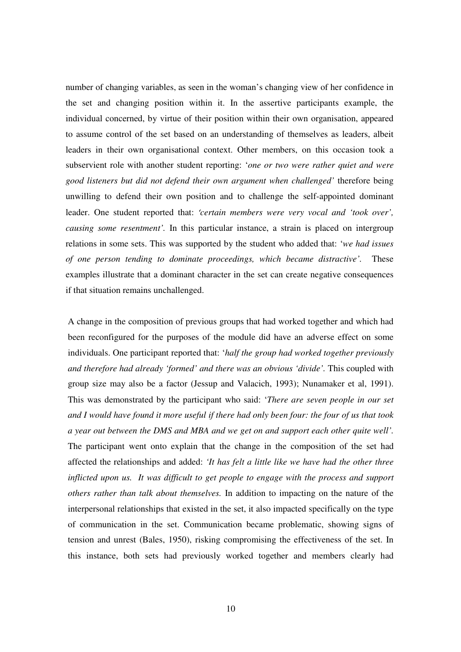number of changing variables, as seen in the woman's changing view of her confidence in the set and changing position within it. In the assertive participants example, the individual concerned, by virtue of their position within their own organisation, appeared to assume control of the set based on an understanding of themselves as leaders, albeit leaders in their own organisational context. Other members, on this occasion took a subservient role with another student reporting: '*one or two were rather quiet and were good listeners but did not defend their own argument when challenged'* therefore being unwilling to defend their own position and to challenge the self-appointed dominant leader. One student reported that: '*certain members were very vocal and 'took over', causing some resentment'.* In this particular instance, a strain is placed on intergroup relations in some sets. This was supported by the student who added that: '*we had issues of one person tending to dominate proceedings, which became distractive'.* These examples illustrate that a dominant character in the set can create negative consequences if that situation remains unchallenged.

A change in the composition of previous groups that had worked together and which had been reconfigured for the purposes of the module did have an adverse effect on some individuals. One participant reported that: '*half the group had worked together previously and therefore had already 'formed' and there was an obvious 'divide'.* This coupled with group size may also be a factor (Jessup and Valacich, 1993); Nunamaker et al, 1991). This was demonstrated by the participant who said: '*There are seven people in our set and I would have found it more useful if there had only been four: the four of us that took a year out between the DMS and MBA and we get on and support each other quite well'.*  The participant went onto explain that the change in the composition of the set had affected the relationships and added: *'It has felt a little like we have had the other three inflicted upon us. It was difficult to get people to engage with the process and support others rather than talk about themselves.* In addition to impacting on the nature of the interpersonal relationships that existed in the set, it also impacted specifically on the type of communication in the set. Communication became problematic, showing signs of tension and unrest (Bales, 1950), risking compromising the effectiveness of the set. In this instance, both sets had previously worked together and members clearly had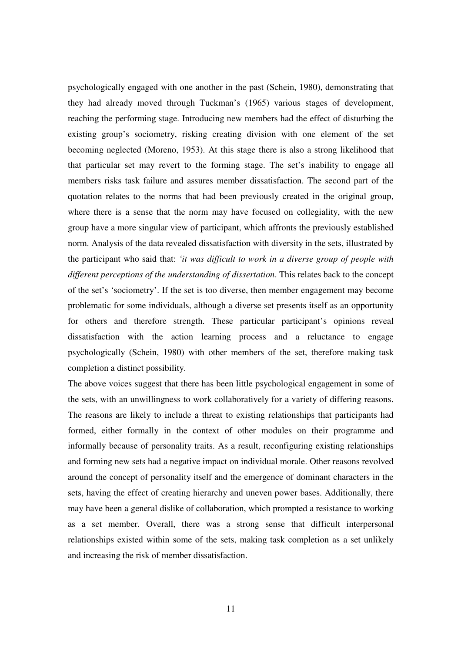psychologically engaged with one another in the past (Schein, 1980), demonstrating that they had already moved through Tuckman's (1965) various stages of development, reaching the performing stage. Introducing new members had the effect of disturbing the existing group's sociometry, risking creating division with one element of the set becoming neglected (Moreno, 1953). At this stage there is also a strong likelihood that that particular set may revert to the forming stage. The set's inability to engage all members risks task failure and assures member dissatisfaction. The second part of the quotation relates to the norms that had been previously created in the original group, where there is a sense that the norm may have focused on collegiality, with the new group have a more singular view of participant, which affronts the previously established norm. Analysis of the data revealed dissatisfaction with diversity in the sets, illustrated by the participant who said that: *'it was difficult to work in a diverse group of people with different perceptions of the understanding of dissertation*. This relates back to the concept of the set's 'sociometry'. If the set is too diverse, then member engagement may become problematic for some individuals, although a diverse set presents itself as an opportunity for others and therefore strength. These particular participant's opinions reveal dissatisfaction with the action learning process and a reluctance to engage psychologically (Schein, 1980) with other members of the set, therefore making task completion a distinct possibility.

The above voices suggest that there has been little psychological engagement in some of the sets, with an unwillingness to work collaboratively for a variety of differing reasons. The reasons are likely to include a threat to existing relationships that participants had formed, either formally in the context of other modules on their programme and informally because of personality traits. As a result, reconfiguring existing relationships and forming new sets had a negative impact on individual morale. Other reasons revolved around the concept of personality itself and the emergence of dominant characters in the sets, having the effect of creating hierarchy and uneven power bases. Additionally, there may have been a general dislike of collaboration, which prompted a resistance to working as a set member. Overall, there was a strong sense that difficult interpersonal relationships existed within some of the sets, making task completion as a set unlikely and increasing the risk of member dissatisfaction.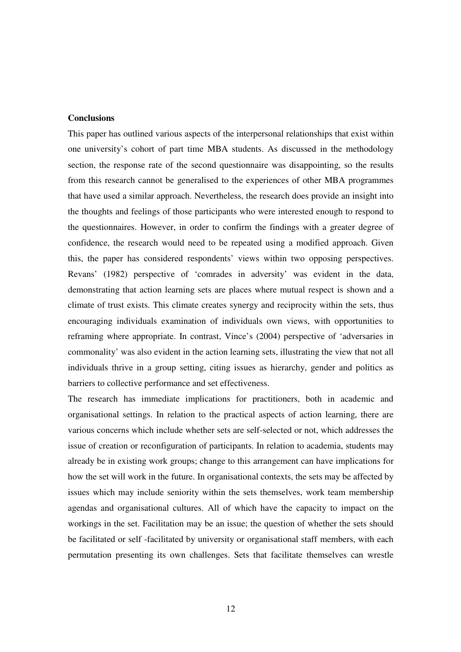# **Conclusions**

This paper has outlined various aspects of the interpersonal relationships that exist within one university's cohort of part time MBA students. As discussed in the methodology section, the response rate of the second questionnaire was disappointing, so the results from this research cannot be generalised to the experiences of other MBA programmes that have used a similar approach. Nevertheless, the research does provide an insight into the thoughts and feelings of those participants who were interested enough to respond to the questionnaires. However, in order to confirm the findings with a greater degree of confidence, the research would need to be repeated using a modified approach. Given this, the paper has considered respondents' views within two opposing perspectives. Revans' (1982) perspective of 'comrades in adversity' was evident in the data, demonstrating that action learning sets are places where mutual respect is shown and a climate of trust exists. This climate creates synergy and reciprocity within the sets, thus encouraging individuals examination of individuals own views, with opportunities to reframing where appropriate. In contrast, Vince's (2004) perspective of 'adversaries in commonality' was also evident in the action learning sets, illustrating the view that not all individuals thrive in a group setting, citing issues as hierarchy, gender and politics as barriers to collective performance and set effectiveness.

The research has immediate implications for practitioners, both in academic and organisational settings. In relation to the practical aspects of action learning, there are various concerns which include whether sets are self-selected or not, which addresses the issue of creation or reconfiguration of participants. In relation to academia, students may already be in existing work groups; change to this arrangement can have implications for how the set will work in the future. In organisational contexts, the sets may be affected by issues which may include seniority within the sets themselves, work team membership agendas and organisational cultures. All of which have the capacity to impact on the workings in the set. Facilitation may be an issue; the question of whether the sets should be facilitated or self -facilitated by university or organisational staff members, with each permutation presenting its own challenges. Sets that facilitate themselves can wrestle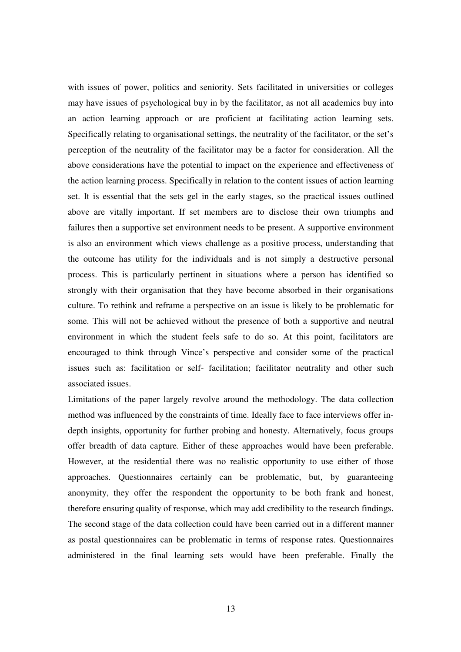with issues of power, politics and seniority. Sets facilitated in universities or colleges may have issues of psychological buy in by the facilitator, as not all academics buy into an action learning approach or are proficient at facilitating action learning sets. Specifically relating to organisational settings, the neutrality of the facilitator, or the set's perception of the neutrality of the facilitator may be a factor for consideration. All the above considerations have the potential to impact on the experience and effectiveness of the action learning process. Specifically in relation to the content issues of action learning set. It is essential that the sets gel in the early stages, so the practical issues outlined above are vitally important. If set members are to disclose their own triumphs and failures then a supportive set environment needs to be present. A supportive environment is also an environment which views challenge as a positive process, understanding that the outcome has utility for the individuals and is not simply a destructive personal process. This is particularly pertinent in situations where a person has identified so strongly with their organisation that they have become absorbed in their organisations culture. To rethink and reframe a perspective on an issue is likely to be problematic for some. This will not be achieved without the presence of both a supportive and neutral environment in which the student feels safe to do so. At this point, facilitators are encouraged to think through Vince's perspective and consider some of the practical issues such as: facilitation or self- facilitation; facilitator neutrality and other such associated issues.

Limitations of the paper largely revolve around the methodology. The data collection method was influenced by the constraints of time. Ideally face to face interviews offer indepth insights, opportunity for further probing and honesty. Alternatively, focus groups offer breadth of data capture. Either of these approaches would have been preferable. However, at the residential there was no realistic opportunity to use either of those approaches. Questionnaires certainly can be problematic, but, by guaranteeing anonymity, they offer the respondent the opportunity to be both frank and honest, therefore ensuring quality of response, which may add credibility to the research findings. The second stage of the data collection could have been carried out in a different manner as postal questionnaires can be problematic in terms of response rates. Questionnaires administered in the final learning sets would have been preferable. Finally the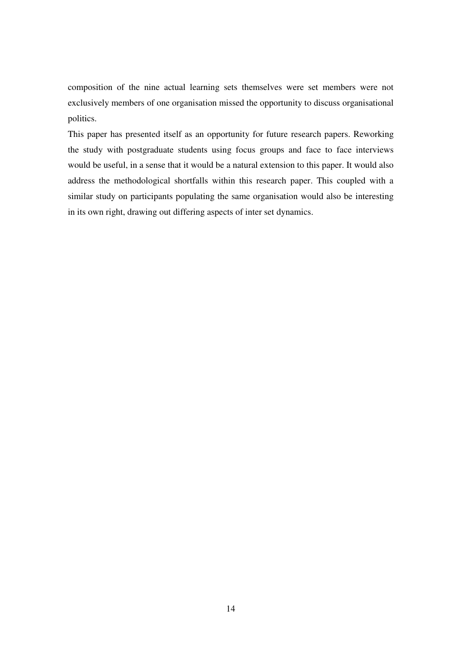composition of the nine actual learning sets themselves were set members were not exclusively members of one organisation missed the opportunity to discuss organisational politics.

This paper has presented itself as an opportunity for future research papers. Reworking the study with postgraduate students using focus groups and face to face interviews would be useful, in a sense that it would be a natural extension to this paper. It would also address the methodological shortfalls within this research paper. This coupled with a similar study on participants populating the same organisation would also be interesting in its own right, drawing out differing aspects of inter set dynamics.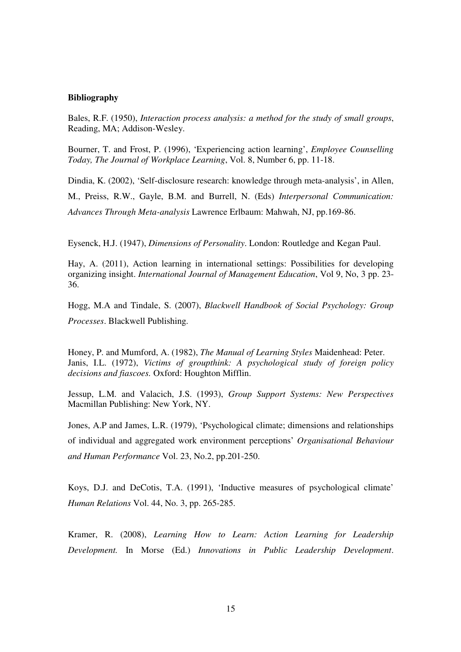#### **Bibliography**

Bales, R.F. (1950), *Interaction process analysis: a method for the study of small groups*, Reading, MA; Addison-Wesley.

Bourner, T. and Frost, P. (1996), 'Experiencing action learning', *Employee Counselling Today, The Journal of Workplace Learning*, Vol. 8, Number 6, pp. 11-18.

Dindia, K. (2002), 'Self-disclosure research: knowledge through meta-analysis', in Allen, M., Preiss, R.W., Gayle, B.M. and Burrell, N. (Eds) *Interpersonal Communication: Advances Through Meta-analysis* Lawrence Erlbaum: Mahwah, NJ, pp.169-86.

Eysenck, H.J. (1947), *Dimensions of Personality*. London: Routledge and Kegan Paul.

Hay, A. (2011), Action learning in international settings: Possibilities for developing organizing insight. *International Journal of Management Education*, Vol 9, No, 3 pp. 23- 36.

Hogg, M.A and Tindale, S. (2007), *Blackwell Handbook of Social Psychology: Group Processes*. Blackwell Publishing.

Honey, P. and Mumford, A. (1982), *The Manual of Learning Styles* Maidenhead: Peter. Janis, I.L. (1972), *Victims of groupthink: A psychological study of foreign policy decisions and fiascoes.* Oxford: Houghton Mifflin.

Jessup, L.M. and Valacich, J.S. (1993), *Group Support Systems: New Perspectives* Macmillan Publishing: New York, NY.

Jones, A.P and James, L.R. (1979), 'Psychological climate; dimensions and relationships of individual and aggregated work environment perceptions' *Organisational Behaviour and Human Performance* Vol. 23, No.2, pp.201-250.

Koys, D.J. and DeCotis, T.A. (1991), 'Inductive measures of psychological climate' *Human Relations* Vol. 44, No. 3, pp. 265-285.

Kramer, R. (2008), *Learning How to Learn: Action Learning for Leadership Development.* In Morse (Ed.) *Innovations in Public Leadership Development*.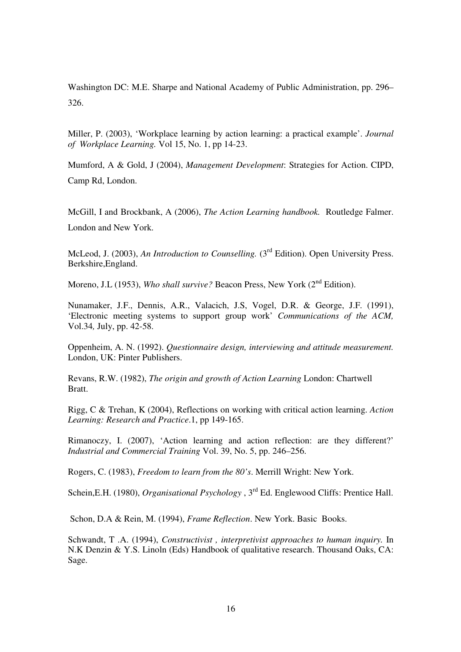Washington DC: M.E. Sharpe and National Academy of Public Administration, pp. 296– 326.

Miller, P. (2003), 'Workplace learning by action learning: a practical example'. *Journal of Workplace Learning.* Vol 15, No. 1, pp 14-23.

Mumford, A & Gold, J (2004), *Management Development*: Strategies for Action. CIPD, Camp Rd, London.

McGill, I and Brockbank, A (2006), *The Action Learning handbook.* Routledge Falmer. London and New York.

McLeod, J. (2003), *An Introduction to Counselling.* (3<sup>rd</sup> Edition). Open University Press. Berkshire,England.

Moreno, J.L (1953), *Who shall survive?* Beacon Press, New York (2<sup>nd</sup> Edition).

Nunamaker, J.F., Dennis, A.R., Valacich, J.S, Vogel, D.R. & George, J.F. (1991), 'Electronic meeting systems to support group work' *Communications of the ACM,*  Vol.34*,* July, pp. 42-58.

Oppenheim, A. N. (1992). *Questionnaire design, interviewing and attitude measurement.* London, UK: Pinter Publishers.

Revans, R.W. (1982), *The origin and growth of Action Learning* London: Chartwell Bratt.

Rigg, C & Trehan, K (2004), Reflections on working with critical action learning. *Action Learning: Research and Practice*.1, pp 149-165.

Rimanoczy, I. (2007), 'Action learning and action reflection: are they different?' *Industrial and Commercial Training* Vol. 39, No. 5, pp. 246–256.

Rogers, C. (1983), *Freedom to learn from the 80's*. Merrill Wright: New York.

Schein, E.H. (1980), *Organisational Psychology*, 3<sup>rd</sup> Ed. Englewood Cliffs: Prentice Hall.

Schon, D.A & Rein, M. (1994), *Frame Reflection*. New York. Basic Books.

Schwandt, T .A. (1994), *Constructivist , interpretivist approaches to human inquiry.* In N.K Denzin & Y.S. Linoln (Eds) Handbook of qualitative research. Thousand Oaks, CA: Sage.